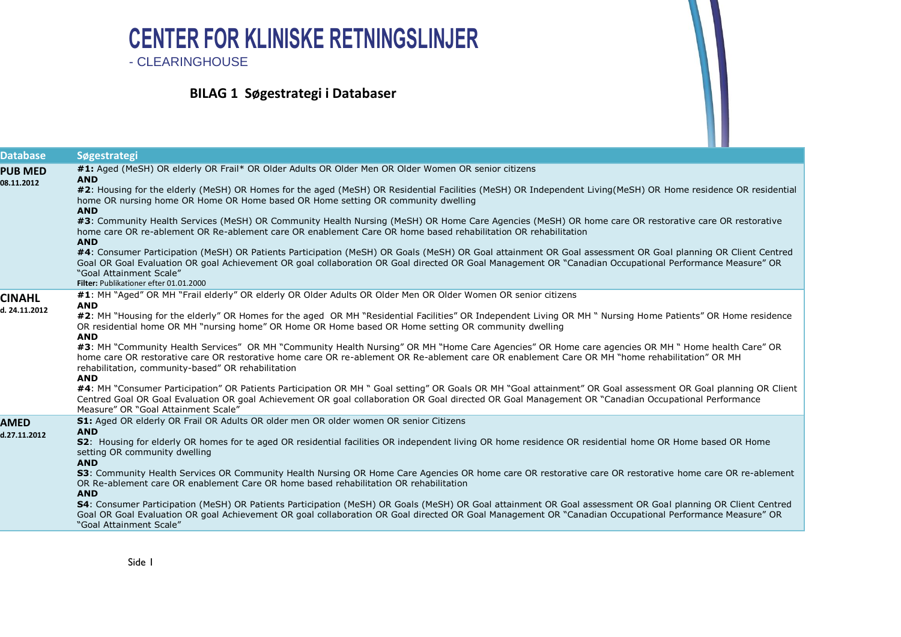# **CENTER FOR KLINISKE RETNINGSLINJER**

- CLEARINGHOUSE

### **BILAG 1 Søgestrategi i Databaser**

| <b>Database</b>              | <b>Søgestrategi</b>                                                                                                                                                                                                                                                                                                                                                                                                                                                                                                                                                                                                                                                                                                                                                                                                                                                                                                                                                                                                                                                                                                                                          |
|------------------------------|--------------------------------------------------------------------------------------------------------------------------------------------------------------------------------------------------------------------------------------------------------------------------------------------------------------------------------------------------------------------------------------------------------------------------------------------------------------------------------------------------------------------------------------------------------------------------------------------------------------------------------------------------------------------------------------------------------------------------------------------------------------------------------------------------------------------------------------------------------------------------------------------------------------------------------------------------------------------------------------------------------------------------------------------------------------------------------------------------------------------------------------------------------------|
| <b>PUB MED</b><br>08.11.2012 | #1: Aged (MeSH) OR elderly OR Frail* OR Older Adults OR Older Men OR Older Women OR senior citizens<br><b>AND</b><br>#2: Housing for the elderly (MeSH) OR Homes for the aged (MeSH) OR Residential Facilities (MeSH) OR Independent Living(MeSH) OR Home residence OR residential<br>home OR nursing home OR Home OR Home based OR Home setting OR community dwelling<br><b>AND</b><br>#3: Community Health Services (MeSH) OR Community Health Nursing (MeSH) OR Home Care Agencies (MeSH) OR home care OR restorative care OR restorative<br>home care OR re-ablement OR Re-ablement care OR enablement Care OR home based rehabilitation OR rehabilitation<br><b>AND</b><br>#4: Consumer Participation (MeSH) OR Patients Participation (MeSH) OR Goals (MeSH) OR Goal attainment OR Goal assessment OR Goal planning OR Client Centred<br>Goal OR Goal Evaluation OR goal Achievement OR goal collaboration OR Goal directed OR Goal Management OR "Canadian Occupational Performance Measure" OR<br>"Goal Attainment Scale"<br>Filter: Publikationer efter 01.01.2000                                                                                  |
| CINAHL<br>d. 24.11.2012      | #1: MH "Aged" OR MH "Frail elderly" OR elderly OR Older Adults OR Older Men OR Older Women OR senior citizens<br><b>AND</b><br>#2: MH "Housing for the elderly" OR Homes for the aged OR MH "Residential Facilities" OR Independent Living OR MH " Nursing Home Patients" OR Home residence<br>OR residential home OR MH "nursing home" OR Home OR Home based OR Home setting OR community dwelling<br><b>AND</b><br>#3: MH "Community Health Services" OR MH "Community Health Nursing" OR MH "Home Care Agencies" OR Home care agencies OR MH " Home health Care" OR<br>home care OR restorative care OR restorative home care OR re-ablement OR Re-ablement care OR enablement Care OR MH "home rehabilitation" OR MH<br>rehabilitation, community-based" OR rehabilitation<br><b>AND</b><br>#4: MH "Consumer Participation" OR Patients Participation OR MH " Goal setting" OR Goals OR MH "Goal attainment" OR Goal assessment OR Goal planning OR Client<br>Centred Goal OR Goal Evaluation OR goal Achievement OR goal collaboration OR Goal directed OR Goal Management OR "Canadian Occupational Performance<br>Measure" OR "Goal Attainment Scale" |
| <b>AMED</b><br>d.27.11.2012  | <b>S1:</b> Aged OR elderly OR Frail OR Adults OR older men OR older women OR senior Citizens<br><b>AND</b><br>S2: Housing for elderly OR homes for te aged OR residential facilities OR independent living OR home residence OR residential home OR Home based OR Home<br>setting OR community dwelling<br><b>AND</b><br>S3: Community Health Services OR Community Health Nursing OR Home Care Agencies OR home care OR restorative care OR restorative home care OR re-ablement<br>OR Re-ablement care OR enablement Care OR home based rehabilitation OR rehabilitation<br><b>AND</b><br>S4: Consumer Participation (MeSH) OR Patients Participation (MeSH) OR Goals (MeSH) OR Goal attainment OR Goal assessment OR Goal planning OR Client Centred<br>Goal OR Goal Evaluation OR goal Achievement OR goal collaboration OR Goal directed OR Goal Management OR "Canadian Occupational Performance Measure" OR<br>"Goal Attainment Scale"                                                                                                                                                                                                                |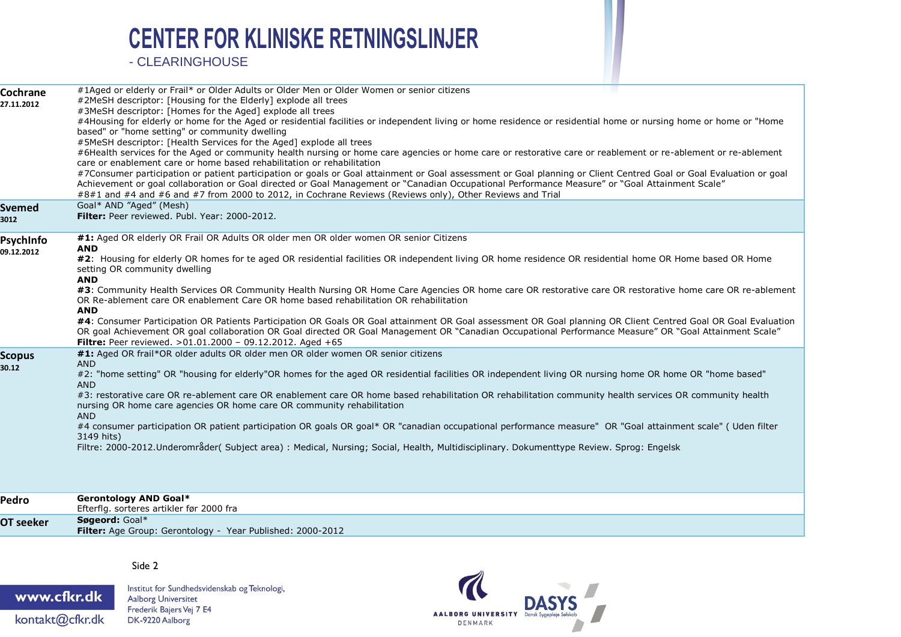## **CENTER FOR KLINISKE RETNINGSLINJER**

- CLEARINGHOUSE

| Cochrane<br>27.11.2012  | #1Aged or elderly or Frail* or Older Adults or Older Men or Older Women or senior citizens<br>#2MeSH descriptor: [Housing for the Elderly] explode all trees<br>#3MeSH descriptor: [Homes for the Aged] explode all trees<br>#4Housing for elderly or home for the Aged or residential facilities or independent living or home residence or residential home or nursing home or home or "Home<br>based" or "home setting" or community dwelling<br>#5MeSH descriptor: [Health Services for the Aged] explode all trees<br>#6Health services for the Aged or community health nursing or home care agencies or home care or restorative care or reablement or re-ablement or re-ablement<br>care or enablement care or home based rehabilitation or rehabilitation<br>#7Consumer participation or patient participation or goals or Goal attainment or Goal assessment or Goal planning or Client Centred Goal or Goal Evaluation or goal<br>Achievement or goal collaboration or Goal directed or Goal Management or "Canadian Occupational Performance Measure" or "Goal Attainment Scale"<br>#8#1 and #4 and #6 and #7 from 2000 to 2012, in Cochrane Reviews (Reviews only), Other Reviews and Trial |
|-------------------------|----------------------------------------------------------------------------------------------------------------------------------------------------------------------------------------------------------------------------------------------------------------------------------------------------------------------------------------------------------------------------------------------------------------------------------------------------------------------------------------------------------------------------------------------------------------------------------------------------------------------------------------------------------------------------------------------------------------------------------------------------------------------------------------------------------------------------------------------------------------------------------------------------------------------------------------------------------------------------------------------------------------------------------------------------------------------------------------------------------------------------------------------------------------------------------------------------------|
| lSvemed<br>3012         | Goal* AND "Aged" (Mesh)<br>Filter: Peer reviewed. Publ. Year: 2000-2012.                                                                                                                                                                                                                                                                                                                                                                                                                                                                                                                                                                                                                                                                                                                                                                                                                                                                                                                                                                                                                                                                                                                                 |
| PsychInfo<br>09.12.2012 | #1: Aged OR elderly OR Frail OR Adults OR older men OR older women OR senior Citizens<br><b>AND</b><br>#2: Housing for elderly OR homes for te aged OR residential facilities OR independent living OR home residence OR residential home OR Home based OR Home<br>setting OR community dwelling<br><b>AND</b><br>#3: Community Health Services OR Community Health Nursing OR Home Care Agencies OR home care OR restorative care OR restorative home care OR re-ablement<br>OR Re-ablement care OR enablement Care OR home based rehabilitation OR rehabilitation<br><b>AND</b><br>#4: Consumer Participation OR Patients Participation OR Goals OR Goal attainment OR Goal assessment OR Goal planning OR Client Centred Goal OR Goal Evaluation<br>OR goal Achievement OR goal collaboration OR Goal directed OR Goal Management OR "Canadian Occupational Performance Measure" OR "Goal Attainment Scale"<br>Filtre: Peer reviewed. $>01.01.2000 - 09.12.2012$ . Aged +65                                                                                                                                                                                                                           |
| Scopus<br>30.12         | #1: Aged OR frail*OR older adults OR older men OR older women OR senior citizens<br><b>AND</b><br>#2: "home setting" OR "housing for elderly"OR homes for the aged OR residential facilities OR independent living OR nursing home OR home OR "home based"<br><b>AND</b><br>#3: restorative care OR re-ablement care OR enablement care OR home based rehabilitation OR rehabilitation community health services OR community health<br>nursing OR home care agencies OR home care OR community rehabilitation<br><b>AND</b><br>#4 consumer participation OR patient participation OR goals OR goal* OR "canadian occupational performance measure" OR "Goal attainment scale" ( Uden filter<br>3149 hits)<br>Filtre: 2000-2012.Underområder( Subject area): Medical, Nursing; Social, Health, Multidisciplinary. Dokumenttype Review. Sprog: Engelsk                                                                                                                                                                                                                                                                                                                                                    |
|                         |                                                                                                                                                                                                                                                                                                                                                                                                                                                                                                                                                                                                                                                                                                                                                                                                                                                                                                                                                                                                                                                                                                                                                                                                          |

| Pedro            | Gerontology AND Goal*                                             |
|------------------|-------------------------------------------------------------------|
|                  | Efterflg. sorteres artikler før 2000 fra                          |
| <b>OT seeker</b> | Søgeord: Goal*                                                    |
|                  | <b>Filter:</b> Age Group: Gerontology - Year Published: 2000-2012 |
|                  |                                                                   |

#### Side 2

www.cfkr.dk kontakt@cfkr.dk Institut for Sundhedsvidenskab og Teknologi, **Aalborg Universitet** Frederik Bajers Vej 7 E4 DK-9220 Aalborg